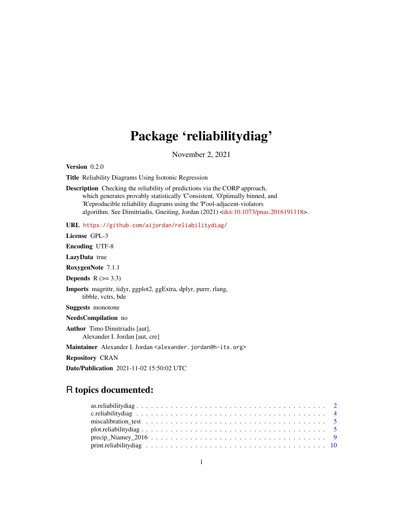## Package 'reliabilitydiag'

November 2, 2021

<span id="page-0-0"></span>Version 0.2.0

Title Reliability Diagrams Using Isotonic Regression

Description Checking the reliability of predictions via the CORP approach, which generates provably statistically 'C'onsistent, 'O'ptimally binned, and 'R'eproducible reliability diagrams using the 'P'ool-adjacent-violators algorithm. See Dimitriadis, Gneiting, Jordan (2021) [<doi:10.1073/pnas.2016191118>](https://doi.org/10.1073/pnas.2016191118).

URL <https://github.com/aijordan/reliabilitydiag/>

License GPL-3

Encoding UTF-8

LazyData true

RoxygenNote 7.1.1

Depends  $R$  ( $>= 3.3$ )

Imports magrittr, tidyr, ggplot2, ggExtra, dplyr, purrr, rlang, tibble, vctrs, bde

Suggests monotone

NeedsCompilation no

Author Timo Dimitriadis [aut], Alexander I. Jordan [aut, cre]

Maintainer Alexander I. Jordan <alexander.jordan@h-its.org>

Repository CRAN

Date/Publication 2021-11-02 15:50:02 UTC

### R topics documented: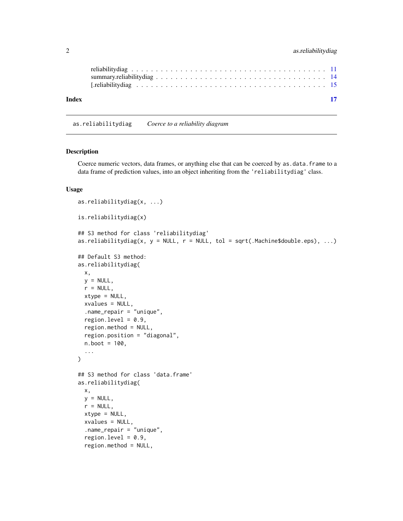<span id="page-1-0"></span>

| Index | -17 |  |
|-------|-----|--|
|       |     |  |

<span id="page-1-1"></span>as.reliabilitydiag *Coerce to a reliability diagram*

#### Description

Coerce numeric vectors, data frames, or anything else that can be coerced by as.data.frame to a data frame of prediction values, into an object inheriting from the 'reliabilitydiag' class.

#### Usage

```
as.reliabilitydiag(x, ...)
is.reliabilitydiag(x)
## S3 method for class 'reliabilitydiag'
as.reliabilitydiag(x, y = NULL, r = NULL, tol = sqrt(.Machine$double.eps), ...)
## Default S3 method:
as.reliabilitydiag(
 x,
 y = NULL,r = NULL,
 xtype = NULL,
 xvalues = NULL,
  .name_repair = "unique",
  region.level = 0.9,
  region.method = NULL,
  region.position = "diagonal",
  n.boot = 100,...
)
## S3 method for class 'data.frame'
as.reliabilitydiag(
 x,
 y = NULL,r = NULL,
 xtype = NULL,
  xvalues = NULL,
  .name_repair = "unique",
  region.level = 0.9,
  region.method = NULL,
```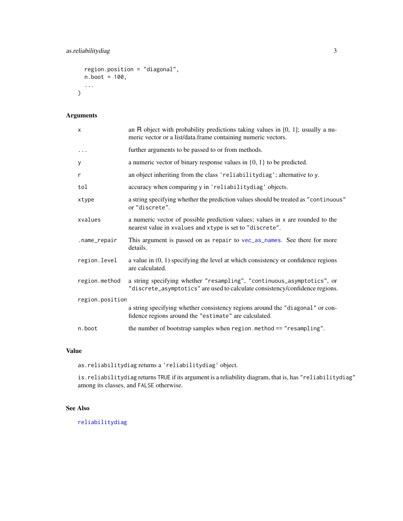```
region.position = "diagonal",
  n.boot = 100,...
\mathcal{L}
```
#### Arguments

| X               | an R object with probability predictions taking values in $[0, 1]$ ; usually a nu-<br>meric vector or a list/data.frame containing numeric vectors.    |  |
|-----------------|--------------------------------------------------------------------------------------------------------------------------------------------------------|--|
| $\ddots$        | further arguments to be passed to or from methods.                                                                                                     |  |
| у               | a numeric vector of binary response values in $\{0, 1\}$ to be predicted.                                                                              |  |
| r               | an object inheriting from the class 'reliabilitydiag'; alternative to y.                                                                               |  |
| tol             | accuracy when comparing y in 'reliabilitydiag' objects.                                                                                                |  |
| xtype           | a string specifying whether the prediction values should be treated as "continuous"<br>or "discrete".                                                  |  |
| xvalues         | a numeric vector of possible prediction values; values in x are rounded to the<br>nearest value in xvalues and xtype is set to "discrete".             |  |
| .name_repair    | This argument is passed on as repair to vec_as_names. See there for more<br>details.                                                                   |  |
| region.level    | a value in $(0, 1)$ specifying the level at which consistency or confidence regions<br>are calculated.                                                 |  |
| region.method   | a string specifying whether "resampling", "continuous_asymptotics", or<br>"discrete_asymptotics" are used to calculate consistency/confidence regions. |  |
| region.position |                                                                                                                                                        |  |
|                 | a string specifying whether consistency regions around the "diagonal" or con-<br>fidence regions around the "estimate" are calculated.                 |  |
| n.boot          | the number of bootstrap samples when region.method == "resampling".                                                                                    |  |

#### Value

as.reliabilitydiag returns a 'reliabilitydiag' object.

is.reliabilitydiag returns TRUE if its argument is a reliability diagram, that is, has "reliabilitydiag" among its classes, and FALSE otherwise.

#### See Also

[reliabilitydiag](#page-10-1)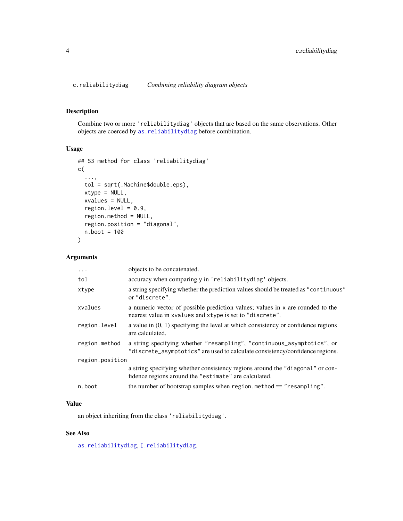<span id="page-3-1"></span><span id="page-3-0"></span>c.reliabilitydiag *Combining reliability diagram objects*

#### Description

Combine two or more 'reliabilitydiag' objects that are based on the same observations. Other objects are coerced by [as.reliabilitydiag](#page-1-1) before combination.

#### Usage

```
## S3 method for class 'reliabilitydiag'
c(
  ...,
  tol = sqrt(.Machine$double.eps),
  xtype = NULL,
  xvalues = NULL,
  region.level = 0.9,
  region.method = NULL,
  region.position = "diagonal",
  n.boot = 100
)
```
#### Arguments

| $\ddots$        | objects to be concatenated.                                                                                                                            |
|-----------------|--------------------------------------------------------------------------------------------------------------------------------------------------------|
| tol             | accuracy when comparing y in 'reliabilitydiag' objects.                                                                                                |
| xtype           | a string specifying whether the prediction values should be treated as "continuous"<br>or "discrete".                                                  |
| xvalues         | a numeric vector of possible prediction values; values in x are rounded to the<br>nearest value in xvalues and xtype is set to "discrete".             |
| region.level    | a value in $(0, 1)$ specifying the level at which consistency or confidence regions<br>are calculated.                                                 |
| region.method   | a string specifying whether "resampling", "continuous_asymptotics", or<br>"discrete_asymptotics" are used to calculate consistency/confidence regions. |
| region.position |                                                                                                                                                        |
|                 | a string specifying whether consistency regions around the "diagonal" or con-<br>fidence regions around the "estimate" are calculated.                 |
| n.boot          | the number of bootstrap samples when region. method $==$ "resampling".                                                                                 |

#### Value

an object inheriting from the class 'reliabilitydiag'.

#### See Also

[as.reliabilitydiag](#page-1-1), [\[.reliabilitydiag](#page-14-1).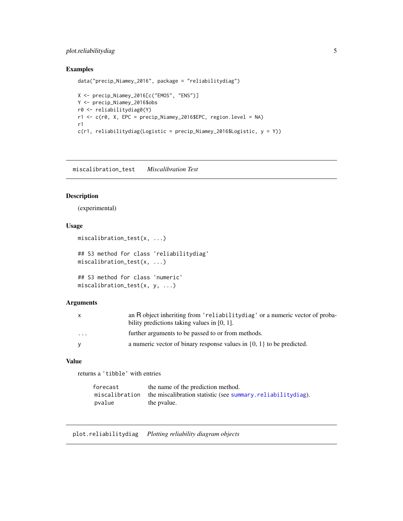#### <span id="page-4-0"></span>plot.reliabilitydiag 5

#### Examples

```
data("precip_Niamey_2016", package = "reliabilitydiag")
X <- precip_Niamey_2016[c("EMOS", "ENS")]
Y <- precip_Niamey_2016$obs
r0 <- reliabilitydiag0(Y)
r1 <- c(r0, X, EPC = precip_Niamey_2016$EPC, region.level = NA)
r1
c(r1, reliabilitydiag(Logistic = precip_Niamey_2016$Logistic, y = Y))
```
miscalibration\_test *Miscalibration Test*

#### Description

(experimental)

#### Usage

```
miscalibration_test(x, ...)
## S3 method for class 'reliabilitydiag'
miscalibration_test(x, ...)
## S3 method for class 'numeric'
miscalibration_test(x, y, ...)
```
#### Arguments

| $\mathsf{X}$            | an R object inheriting from 'reliability diag' or a numeric vector of proba-<br>bility predictions taking values in $[0, 1]$ . |
|-------------------------|--------------------------------------------------------------------------------------------------------------------------------|
| $\cdot$ $\cdot$ $\cdot$ | further arguments to be passed to or from methods.                                                                             |
| <b>V</b>                | a numeric vector of binary response values in $\{0, 1\}$ to be predicted.                                                      |

#### Value

returns a 'tibble' with entries

| forecast       | the name of the prediction method.                          |
|----------------|-------------------------------------------------------------|
| miscalibration | the miscalibration statistic (see summary reliabilitydiag). |
| pvalue         | the pyalue.                                                 |

<span id="page-4-2"></span><span id="page-4-1"></span>plot.reliabilitydiag *Plotting reliability diagram objects*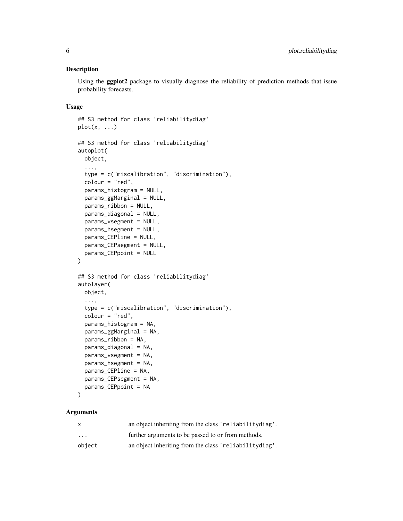#### Description

Using the ggplot2 package to visually diagnose the reliability of prediction methods that issue probability forecasts.

#### Usage

```
## S3 method for class 'reliabilitydiag'
plot(x, \ldots)## S3 method for class 'reliabilitydiag'
autoplot(
 object,
  ...,
  type = c("miscalibration", "discrimination"),
  color = "red",params_histogram = NULL,
  params_ggMarginal = NULL,
  params_ribbon = NULL,
  params_diagonal = NULL,
 params_vsegment = NULL,
  params_hsegment = NULL,
  params_CEPline = NULL,
 params_CEPsegment = NULL,
  params_CEPpoint = NULL
)
## S3 method for class 'reliabilitydiag'
autolayer(
 object,
  ...,
  type = c("miscalibration", "discrimination"),
  colour = "red",
  params_histogram = NA,
  params_ggMarginal = NA,
 params_ribbon = NA,
  params_diagonal = NA,
  params_vsegment = NA,
 params_hsegment = NA,
  params_CEPline = NA,
  params_CEPsegment = NA,
  params_CEPpoint = NA
```

```
\lambda
```

| x       | an object inheriting from the class 'reliabilitydiag'. |
|---------|--------------------------------------------------------|
| $\cdot$ | further arguments to be passed to or from methods.     |
| object  | an object inheriting from the class 'reliabilitydiag'. |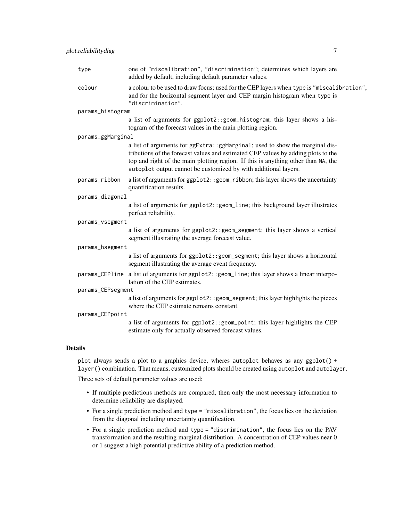| type              | one of "miscalibration", "discrimination"; determines which layers are<br>added by default, including default parameter values.                                                                                                                                                                                           |  |
|-------------------|---------------------------------------------------------------------------------------------------------------------------------------------------------------------------------------------------------------------------------------------------------------------------------------------------------------------------|--|
| colour            | a colour to be used to draw focus; used for the CEP layers when type is "miscalibration",<br>and for the horizontal segment layer and CEP margin histogram when type is<br>"discrimination".                                                                                                                              |  |
| params_histogram  |                                                                                                                                                                                                                                                                                                                           |  |
|                   | a list of arguments for ggplot2:: geom_histogram; this layer shows a his-<br>togram of the forecast values in the main plotting region.                                                                                                                                                                                   |  |
| params_ggMarginal |                                                                                                                                                                                                                                                                                                                           |  |
|                   | a list of arguments for ggExtra:: ggMarginal; used to show the marginal dis-<br>tributions of the forecast values and estimated CEP values by adding plots to the<br>top and right of the main plotting region. If this is anything other than NA, the<br>autoplot output cannot be customized by with additional layers. |  |
| params_ribbon     | a list of arguments for ggplot2:: geom_ribbon; this layer shows the uncertainty<br>quantification results.                                                                                                                                                                                                                |  |
| params_diagonal   |                                                                                                                                                                                                                                                                                                                           |  |
|                   | a list of arguments for ggplot2:: geom_line; this background layer illustrates<br>perfect reliability.                                                                                                                                                                                                                    |  |
| params_vsegment   |                                                                                                                                                                                                                                                                                                                           |  |
|                   | a list of arguments for ggplot2:: geom_segment; this layer shows a vertical<br>segment illustrating the average forecast value.                                                                                                                                                                                           |  |
| params_hsegment   |                                                                                                                                                                                                                                                                                                                           |  |
|                   | a list of arguments for ggplot2:: geom_segment; this layer shows a horizontal<br>segment illustrating the average event frequency.                                                                                                                                                                                        |  |
|                   | params_CEPline a list of arguments for ggplot2:: geom_line; this layer shows a linear interpo-<br>lation of the CEP estimates.                                                                                                                                                                                            |  |
| params_CEPsegment |                                                                                                                                                                                                                                                                                                                           |  |
|                   | a list of arguments for ggplot2:: geom_segment; this layer highlights the pieces<br>where the CEP estimate remains constant.                                                                                                                                                                                              |  |
| params_CEPpoint   |                                                                                                                                                                                                                                                                                                                           |  |
|                   | a list of arguments for ggplot2:: geom_point; this layer highlights the CEP<br>estimate only for actually observed forecast values.                                                                                                                                                                                       |  |
|                   |                                                                                                                                                                                                                                                                                                                           |  |

#### Details

plot always sends a plot to a graphics device, wheres autoplot behaves as any ggplot $() +$ layer() combination. That means, customized plots should be created using autoplot and autolayer.

Three sets of default parameter values are used:

- If multiple predictions methods are compared, then only the most necessary information to determine reliability are displayed.
- For a single prediction method and type = "miscalibration", the focus lies on the deviation from the diagonal including uncertainty quantification.
- For a single prediction method and type = "discrimination", the focus lies on the PAV transformation and the resulting marginal distribution. A concentration of CEP values near 0 or 1 suggest a high potential predictive ability of a prediction method.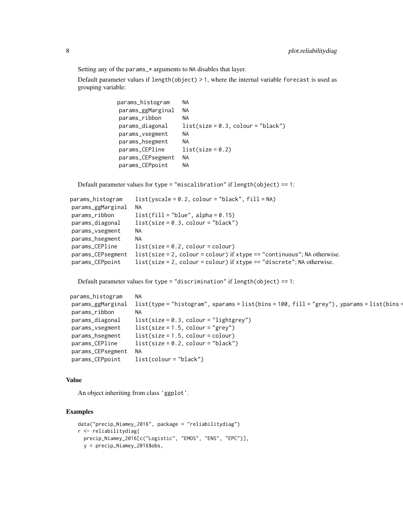Setting any of the params\_\* arguments to NA disables that layer.

Default parameter values if length(object) > 1, where the internal variable forecast is used as grouping variable:

```
params_histogram NA
params_ggMarginal NA
params_ribbon NA
params\_diagonal list(size = 0.3, colour = "black")
params_vsegment NA
params_hsegment NA
params_CEPline list(size = 0.2)
params_CEPsegment NA
params_CEPpoint NA
```
Default parameter values for type = "miscalibration" if length(object) == 1:

| params_histogram  | $list(yscale = 0.2, colour = "black", fill = NA)$                         |
|-------------------|---------------------------------------------------------------------------|
| params_ggMarginal | NA.                                                                       |
| params_ribbon     | $list(fill = "blue", alpha = 0.15)$                                       |
| params_diagonal   | $list(size = 0.3, colour = "black")$                                      |
| params_vsegment   | NA.                                                                       |
| params_hsegment   | NA.                                                                       |
| params_CEPline    | $list(size = 0.2, colour = colour)$                                       |
| params_CEPsegment | $list(size = 2, colour = colour)$ if xtype == "continuous"; NA otherwise. |
| params_CEPpoint   | $list(size = 2, colour = colour) if xtype == "discrete"; NA otherwise.$   |

Default parameter values for type = "discrimination" if length(object) == 1:

```
params_histogram NA
params_ggMarginal list(type = "histogram", xparams = list(bins = 100, fill = "grey"), yparams = list(bins =
params_ribbon NA
params_diagonal list(size = 0.3, colour = "lightgrey")
params_v segment list(size = 1.5, colour = "grey")
params_hsegment list(size = 1.5, colour = colour)
params_CEPIine list(size = 0.2, colour = "black")
params_CEPsegment NA
params_CEPpoint list(colour = "black")
```
#### Value

An object inheriting from class 'ggplot'.

#### Examples

```
data("precip_Niamey_2016", package = "reliabilitydiag")
r <- reliabilitydiag(
 precip_Niamey_2016[c("Logistic", "EMOS", "ENS", "EPC")],
 y = precip_Niamey_2016$obs,
```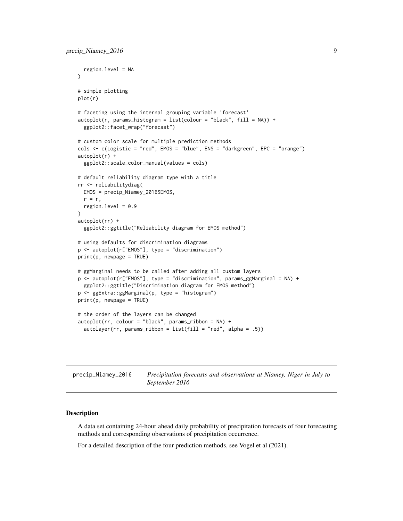```
region.level = NA
)
# simple plotting
plot(r)
# faceting using the internal grouping variable 'forecast'
autoplot(r, params_histogram = list(colour = "black", fill = NA)) +
 ggplot2::facet_wrap("forecast")
# custom color scale for multiple prediction methods
cols <- c(Logistic = "red", EMOS = "blue", ENS = "darkgreen", EPC = "orange")
autoplot(r) +
 ggplot2::scale_color_manual(values = cols)
# default reliability diagram type with a title
rr <- reliabilitydiag(
 EMOS = precip_Niamey_2016$EMOS,
 r = r,
 region.level = 0.9)
autoplot(rr) +
 ggplot2::ggtitle("Reliability diagram for EMOS method")
# using defaults for discrimination diagrams
p <- autoplot(r["EMOS"], type = "discrimination")
print(p, newpage = TRUE)# ggMarginal needs to be called after adding all custom layers
p <- autoplot(r["EMOS"], type = "discrimination", params_ggMarginal = NA) +
 ggplot2::ggtitle("Discrimination diagram for EMOS method")
p <- ggExtra::ggMarginal(p, type = "histogram")
print(p, newpage = TRUE)
# the order of the layers can be changed
autoplot(rr, colour = "black", params_ribbon = NA) +autolayer(rr, params_ribbon = list(fill = "red", alpha = .5))
```
precip\_Niamey\_2016 *Precipitation forecasts and observations at Niamey, Niger in July to September 2016*

#### Description

A data set containing 24-hour ahead daily probability of precipitation forecasts of four forecasting methods and corresponding observations of precipitation occurrence.

For a detailed description of the four prediction methods, see Vogel et al (2021).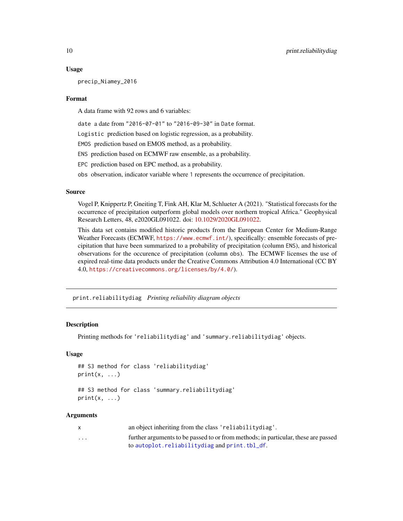#### Usage

precip\_Niamey\_2016

#### Format

A data frame with 92 rows and 6 variables:

date a date from "2016-07-01" to "2016-09-30" in Date format.

Logistic prediction based on logistic regression, as a probability.

EMOS prediction based on EMOS method, as a probability.

ENS prediction based on ECMWF raw ensemble, as a probability.

EPC prediction based on EPC method, as a probability.

obs observation, indicator variable where 1 represents the occurrence of precipitation.

#### Source

Vogel P, Knippertz P, Gneiting T, Fink AH, Klar M, Schlueter A (2021). "Statistical forecasts for the occurrence of precipitation outperform global models over northern tropical Africa." Geophysical Research Letters, 48, e2020GL091022. doi: [10.1029/2020GL091022.](https://doi.org/10.1029/2020GL091022)

This data set contains modified historic products from the European Center for Medium-Range Weather Forecasts (ECMWF, <https://www.ecmwf.int/>), specifically: ensemble forecasts of precipitation that have been summarized to a probability of precipitation (column ENS), and historical observations for the occurence of precipitation (column obs). The ECMWF licenses the use of expired real-time data products under the Creative Commons Attribution 4.0 International (CC BY 4.0, <https://creativecommons.org/licenses/by/4.0/>).

print.reliabilitydiag *Printing reliability diagram objects*

#### **Description**

Printing methods for 'reliabilitydiag' and 'summary.reliabilitydiag' objects.

#### Usage

```
## S3 method for class 'reliabilitydiag'
print(x, \ldots)
```
## S3 method for class 'summary.reliabilitydiag'  $print(x, \ldots)$ 

|                         | an object inheriting from the class 'reliability diag'.                            |
|-------------------------|------------------------------------------------------------------------------------|
| $\cdot$ $\cdot$ $\cdot$ | further arguments to be passed to or from methods; in particular, these are passed |
|                         | to autoplot.reliabilitydiag and print.tbl_df.                                      |

<span id="page-9-0"></span>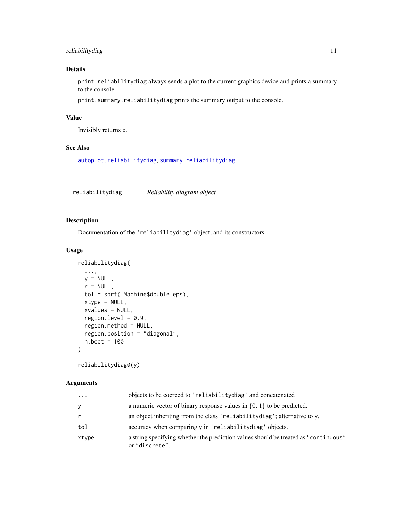#### <span id="page-10-0"></span>reliabilitydiag 11

#### Details

print.reliabilitydiag always sends a plot to the current graphics device and prints a summary to the console.

print.summary.reliabilitydiag prints the summary output to the console.

#### Value

Invisibly returns x.

#### See Also

[autoplot.reliabilitydiag](#page-4-1), [summary.reliabilitydiag](#page-13-1)

<span id="page-10-1"></span>reliabilitydiag *Reliability diagram object*

#### Description

Documentation of the 'reliabilitydiag' object, and its constructors.

#### Usage

```
reliabilitydiag(
  ...,
 y = NULL,r = NULL,tol = sqrt(.Machine$double.eps),
 xtype = NULL,
  xvalues = NULL,
  region.level = 0.9,
  region.method = NULL,
  region.position = "diagonal",
 n.boot = 100\lambda
```
reliabilitydiag0(y)

| $\cdot$ | objects to be coerced to 'reliabilitydiag' and concatenated                                           |
|---------|-------------------------------------------------------------------------------------------------------|
| У       | a numeric vector of binary response values in $\{0, 1\}$ to be predicted.                             |
| r       | an object inheriting from the class 'reliabilitydiag'; alternative to y.                              |
| tol     | accuracy when comparing y in 'reliabilitydiag' objects.                                               |
| xtype   | a string specifying whether the prediction values should be treated as "continuous"<br>or "discrete". |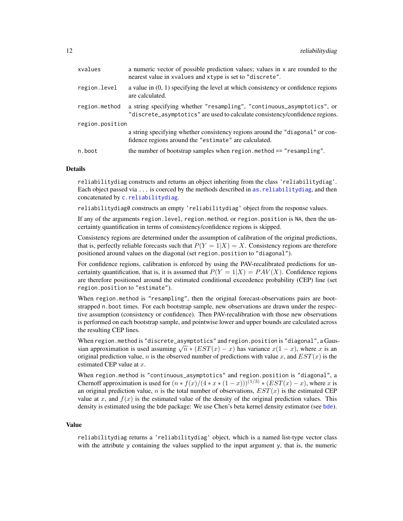<span id="page-11-0"></span>

| xvalues         | a numeric vector of possible prediction values; values in x are rounded to the<br>nearest value in xvalues and xtype is set to "discrete".             |  |
|-----------------|--------------------------------------------------------------------------------------------------------------------------------------------------------|--|
| region.level    | a value in $(0, 1)$ specifying the level at which consistency or confidence regions<br>are calculated.                                                 |  |
| region.method   | a string specifying whether "resampling", "continuous_asymptotics", or<br>"discrete_asymptotics" are used to calculate consistency/confidence regions. |  |
| region.position |                                                                                                                                                        |  |
|                 | a string specifying whether consistency regions around the "diagonal" or con-<br>fidence regions around the "estimate" are calculated.                 |  |
| n.boot          | the number of bootstrap samples when region.method == "resampling".                                                                                    |  |

#### Details

reliabilitydiag constructs and returns an object inheriting from the class 'reliabilitydiag'. Each object passed via ... is coerced by the methods described in [as.reliabilitydiag](#page-1-1), and then concatenated by [c.reliabilitydiag](#page-3-1).

reliabilitydiag0 constructs an empty 'reliabilitydiag' object from the response values.

If any of the arguments region.level, region.method, or region.position is NA, then the uncertainty quantification in terms of consistency/confidence regions is skipped.

Consistency regions are determined under the assumption of calibration of the original predictions, that is, perfectly reliable forecasts such that  $P(Y = 1|X) = X$ . Consistency regions are therefore positioned around values on the diagonal (set region.position to "diagonal").

For confidence regions, calibration is enforced by using the PAV-recalibrated predictions for uncertainty quantification, that is, it is assumed that  $P(Y = 1|X) = PAV(X)$ . Confidence regions are therefore positioned around the estimated conditional exceedence probability (CEP) line (set region.position to "estimate").

When region.method is "resampling", then the original forecast-observations pairs are bootstrapped n.boot times. For each bootstrap sample, new observations are drawn under the respective assumption (consistency or confidence). Then PAV-recalibration with those new observations is performed on each bootstrap sample, and pointwise lower and upper bounds are calculated across the resulting CEP lines.

When region.method is "discrete\_asymptotics" and region.position is "diagonal", a Gauswhen regrom, method is urscrete\_asymptotics and regrom, position is uragonal, a Gaussian approximation is used assuming  $\sqrt{n} * (EST(x) - x)$  has variance  $x(1 - x)$ , where x is an original prediction value, n is the observed number of predictions with value x, and  $EST(x)$  is the estimated CEP value at  $x$ .

When region.method is "continuous\_asymptotics" and region.position is "diagonal", a Chernoff approximation is used for  $(n * f(x)/(4 * x * (1-x)))^{(1/3)} * (EST(x) - x)$ , where x is an original prediction value, n is the total number of observations,  $EST(x)$  is the estimated CEP value at x, and  $f(x)$  is the estimated value of the density of the original prediction values. This density is estimated using the bde package: We use Chen's beta kernel density estimator (see [bde](#page-0-0)).

#### Value

reliabilitydiag returns a 'reliabilitydiag' object, which is a named list-type vector class with the attribute y containing the values supplied to the input argument y, that is, the numeric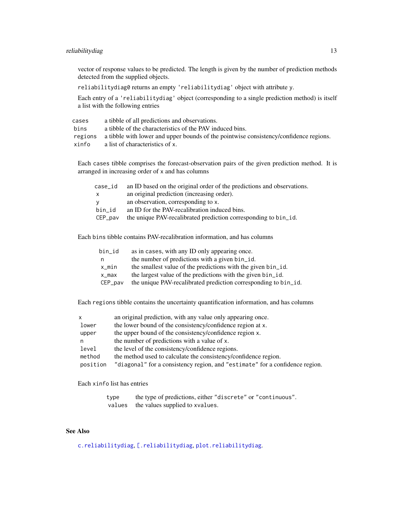#### <span id="page-12-0"></span>reliabilitydiag 13

vector of response values to be predicted. The length is given by the number of prediction methods detected from the supplied objects.

reliabilitydiag0 returns an empty 'reliabilitydiag' object with attribute y.

Each entry of a 'reliabilitydiag' object (corresponding to a single prediction method) is itself a list with the following entries

| cases | a tibble of all predictions and observations.                                                 |
|-------|-----------------------------------------------------------------------------------------------|
| bins  | a tibble of the characteristics of the PAV induced bins.                                      |
|       | regions a tibble with lower and upper bounds of the pointwise consistency/confidence regions. |
| xinfo | a list of characteristics of x.                                                               |

Each cases tibble comprises the forecast-observation pairs of the given prediction method. It is arranged in increasing order of x and has columns

| case_id | an ID based on the original order of the predictions and observations. |
|---------|------------------------------------------------------------------------|
| X       | an original prediction (increasing order).                             |
|         | an observation, corresponding to x.                                    |
| bin id  | an ID for the PAV-recalibration induced bins.                          |
| CEP pay | the unique PAV-recalibrated prediction corresponding to bin_id.        |
|         |                                                                        |

Each bins tibble contains PAV-recalibration information, and has columns

| bin_id  | as in cases, with any ID only appearing once.                   |
|---------|-----------------------------------------------------------------|
| n       | the number of predictions with a given bin_id.                  |
| x_min   | the smallest value of the predictions with the given bin_id.    |
| x_max   | the largest value of the predictions with the given bin_id.     |
| CEP_pav | the unique PAV-recalibrated prediction corresponding to bin_id. |

Each regions tibble contains the uncertainty quantification information, and has columns

| x        | an original prediction, with any value only appearing once.                  |
|----------|------------------------------------------------------------------------------|
| lower    | the lower bound of the consistency/confidence region at x.                   |
| upper    | the upper bound of the consistency/confidence region x.                      |
| n        | the number of predictions with a value of x.                                 |
| level    | the level of the consistency/confidence regions.                             |
| method   | the method used to calculate the consistency/confidence region.              |
| position | "diagonal" for a consistency region, and "estimate" for a confidence region. |

Each xinfo list has entries

type the type of predictions, either "discrete" or "continuous". values the values supplied to xvalues.

#### See Also

[c.reliabilitydiag](#page-3-1), [\[.reliabilitydiag](#page-14-1), [plot.reliabilitydiag](#page-4-2).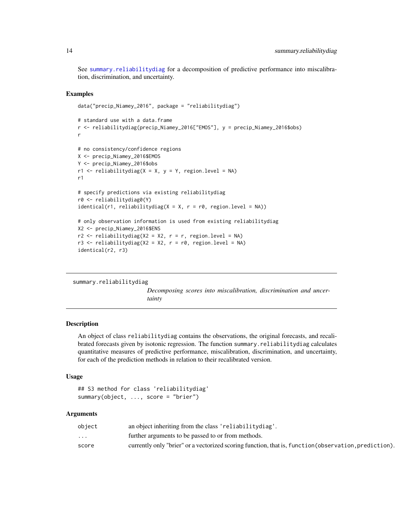See [summary.reliabilitydiag](#page-13-1) for a decomposition of predictive performance into miscalibration, discrimination, and uncertainty.

#### Examples

```
data("precip_Niamey_2016", package = "reliabilitydiag")
# standard use with a data.frame
r <- reliabilitydiag(precip_Niamey_2016["EMOS"], y = precip_Niamey_2016$obs)
r
# no consistency/confidence regions
X <- precip_Niamey_2016$EMOS
Y <- precip_Niamey_2016$obs
r1 \le r reliabilitydiag(X = X, y = Y, region.level = NA)
r1
# specify predictions via existing reliabilitydiag
r0 <- reliabilitydiag0(Y)
identical(r1, reliabilitydiag(X = X, r = r0, region.level = NA))# only observation information is used from existing reliabilitydiag
X2 <- precip_Niamey_2016$ENS
r2 \le reliabilitydiag(X2 = X2, r = r, region.level = NA)
r3 \le reliabilitydiag(X2 = X2, r = r0, region.level = NA)
identical(r2, r3)
```

```
summary.reliabilitydiag
```
*Decomposing scores into miscalibration, discrimination and uncertainty*

#### **Description**

An object of class reliabilitydiag contains the observations, the original forecasts, and recalibrated forecasts given by isotonic regression. The function summary.reliabilitydiag calculates quantitative measures of predictive performance, miscalibration, discrimination, and uncertainty, for each of the prediction methods in relation to their recalibrated version.

#### Usage

```
## S3 method for class 'reliabilitydiag'
summary(object, ..., score = "brier")
```

| object                  | an object inheriting from the class 'reliability diag'.                                               |
|-------------------------|-------------------------------------------------------------------------------------------------------|
| $\cdot$ $\cdot$ $\cdot$ | further arguments to be passed to or from methods.                                                    |
| score                   | currently only "brier" or a vectorized scoring function, that is, function (observation, prediction). |

<span id="page-13-0"></span>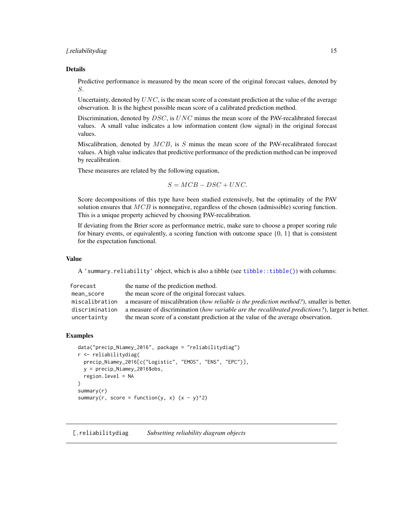#### <span id="page-14-0"></span>[*reliabilitydiag* 15]

#### Details

Predictive performance is measured by the mean score of the original forecast values, denoted by S.

Uncertainty, denoted by  $UNC$ , is the mean score of a constant prediction at the value of the average observation. It is the highest possible mean score of a calibrated prediction method.

Discrimination, denoted by  $DSC$ , is  $UNC$  minus the mean score of the PAV-recalibrated forecast values. A small value indicates a low information content (low signal) in the original forecast values.

Miscalibration, denoted by  $MCB$ , is S minus the mean score of the PAV-recalibrated forecast values. A high value indicates that predictive performance of the prediction method can be improved by recalibration.

These measures are related by the following equation,

 $S = MCB - DSC + UNC.$ 

Score decompositions of this type have been studied extensively, but the optimality of the PAV solution ensures that  $MCB$  is nonnegative, regardless of the chosen (admissible) scoring function. This is a unique property achieved by choosing PAV-recalibration.

If deviating from the Brier score as performance metric, make sure to choose a proper scoring rule for binary events, or equivalently, a scoring function with outcome space  $\{0, 1\}$  that is consistent for the expectation functional.

#### Value

A 'summary.reliability' object, which is also a tibble (see [tibble::tibble\(\)](#page-0-0)) with columns:

| forecast       | the name of the prediction method.                                                              |
|----------------|-------------------------------------------------------------------------------------------------|
| mean_score     | the mean score of the original forecast values.                                                 |
| miscalibration | a measure of miscalibration (how reliable is the prediction method?), smaller is better.        |
| discrimination | a measure of discrimination (how variable are the recalibrated predictions?), larger is better. |
| uncertainty    | the mean score of a constant prediction at the value of the average observation.                |

#### Examples

```
data("precip_Niamey_2016", package = "reliabilitydiag")
r <- reliabilitydiag(
 precip_Niamey_2016[c("Logistic", "EMOS", "ENS", "EPC")],
 y = precip_Niamey_2016$obs,
 region.level = NA
)
summary(r)
summary(r, score = function(y, x) (x - y)^2)
```
<span id="page-14-1"></span>[.reliabilitydiag *Subsetting reliability diagram objects*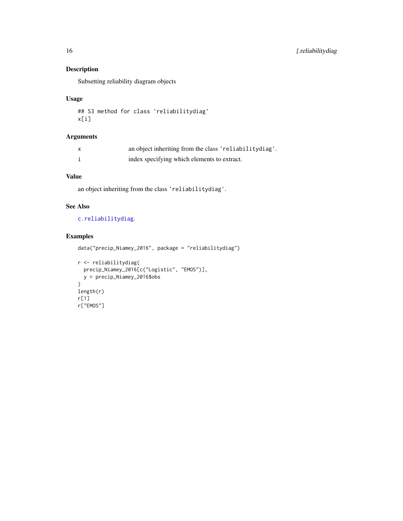#### Description

Subsetting reliability diagram objects

#### Usage

## S3 method for class 'reliabilitydiag' x[i]

#### Arguments

| $\mathsf{x}$ | an object inheriting from the class 'reliabilitydiag'. |
|--------------|--------------------------------------------------------|
|              | index specifying which elements to extract.            |

#### Value

an object inheriting from the class 'reliabilitydiag'.

#### See Also

#### [c.reliabilitydiag](#page-3-1).

#### Examples

```
data("precip_Niamey_2016", package = "reliabilitydiag")
```

```
r <- reliabilitydiag(
 precip_Niamey_2016[c("Logistic", "EMOS")],
 y = precip_Niamey_2016$obs
\mathcal{L}length(r)
r[1]
r["EMOS"]
```
<span id="page-15-0"></span>